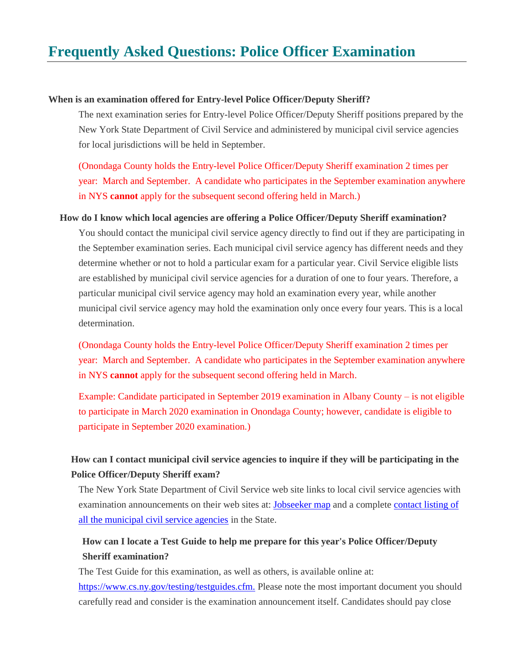# **Frequently Asked Questions: Police Officer Examination**

### **When is an examination offered for Entry-level Police Officer/Deputy Sheriff?**

The next examination series for Entry-level Police Officer/Deputy Sheriff positions prepared by the New York State Department of Civil Service and administered by municipal civil service agencies for local jurisdictions will be held in September.

(Onondaga County holds the Entry-level Police Officer/Deputy Sheriff examination 2 times per year: March and September. A candidate who participates in the September examination anywhere in NYS **cannot** apply for the subsequent second offering held in March.)

#### **How do I know which local agencies are offering a Police Officer/Deputy Sheriff examination?**

You should contact the municipal civil service agency directly to find out if they are participating in the September examination series. Each municipal civil service agency has different needs and they determine whether or not to hold a particular exam for a particular year. Civil Service eligible lists are established by municipal civil service agencies for a duration of one to four years. Therefore, a particular municipal civil service agency may hold an examination every year, while another municipal civil service agency may hold the examination only once every four years. This is a local determination.

(Onondaga County holds the Entry-level Police Officer/Deputy Sheriff examination 2 times per year: March and September. A candidate who participates in the September examination anywhere in NYS **cannot** apply for the subsequent second offering held in March.

Example: Candidate participated in September 2019 examination in Albany County – is not eligible to participate in March 2020 examination in Onondaga County; however, candidate is eligible to participate in September 2020 examination.)

### **How can I contact municipal civil service agencies to inquire if they will be participating in the Police Officer/Deputy Sheriff exam?**

The New York State Department of Civil Service web site links to local civil service agencies with examination announcements on their web sites at: [Jobseeker map](https://www.cs.ny.gov/jobseeker/local/map.cfm) and a complete [contact listing of](https://www.cs.ny.gov/jobseeker/local.cfm)  [all the municipal civil service agencies](https://www.cs.ny.gov/jobseeker/local.cfm) in the State.

## **How can I locate a Test Guide to help me prepare for this year's Police Officer/Deputy Sheriff examination?**

The Test Guide for this examination, as well as others, is available online at: [https://www.cs.ny.gov/testing/testguides.cfm.](https://www.cs.ny.gov/testing/testguides.cfm) Please note the most important document you should carefully read and consider is the examination announcement itself. Candidates should pay close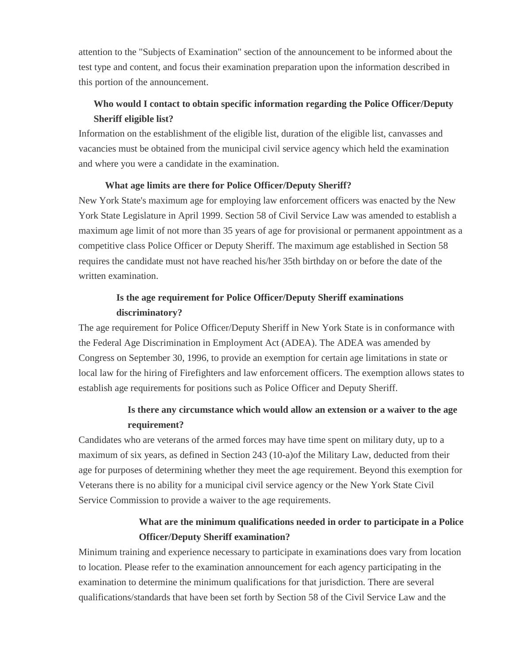attention to the "Subjects of Examination" section of the announcement to be informed about the test type and content, and focus their examination preparation upon the information described in this portion of the announcement.

## **Who would I contact to obtain specific information regarding the Police Officer/Deputy Sheriff eligible list?**

Information on the establishment of the eligible list, duration of the eligible list, canvasses and vacancies must be obtained from the municipal civil service agency which held the examination and where you were a candidate in the examination.

### **What age limits are there for Police Officer/Deputy Sheriff?**

New York State's maximum age for employing law enforcement officers was enacted by the New York State Legislature in April 1999. Section 58 of Civil Service Law was amended to establish a maximum age limit of not more than 35 years of age for provisional or permanent appointment as a competitive class Police Officer or Deputy Sheriff. The maximum age established in Section 58 requires the candidate must not have reached his/her 35th birthday on or before the date of the written examination.

### **Is the age requirement for Police Officer/Deputy Sheriff examinations discriminatory?**

The age requirement for Police Officer/Deputy Sheriff in New York State is in conformance with the Federal Age Discrimination in Employment Act (ADEA). The ADEA was amended by Congress on September 30, 1996, to provide an exemption for certain age limitations in state or local law for the hiring of Firefighters and law enforcement officers. The exemption allows states to establish age requirements for positions such as Police Officer and Deputy Sheriff.

### **Is there any circumstance which would allow an extension or a waiver to the age requirement?**

Candidates who are veterans of the armed forces may have time spent on military duty, up to a maximum of six years, as defined in Section 243 (10-a)of the Military Law, deducted from their age for purposes of determining whether they meet the age requirement. Beyond this exemption for Veterans there is no ability for a municipal civil service agency or the New York State Civil Service Commission to provide a waiver to the age requirements.

## **What are the minimum qualifications needed in order to participate in a Police Officer/Deputy Sheriff examination?**

Minimum training and experience necessary to participate in examinations does vary from location to location. Please refer to the examination announcement for each agency participating in the examination to determine the minimum qualifications for that jurisdiction. There are several qualifications/standards that have been set forth by Section 58 of the Civil Service Law and the